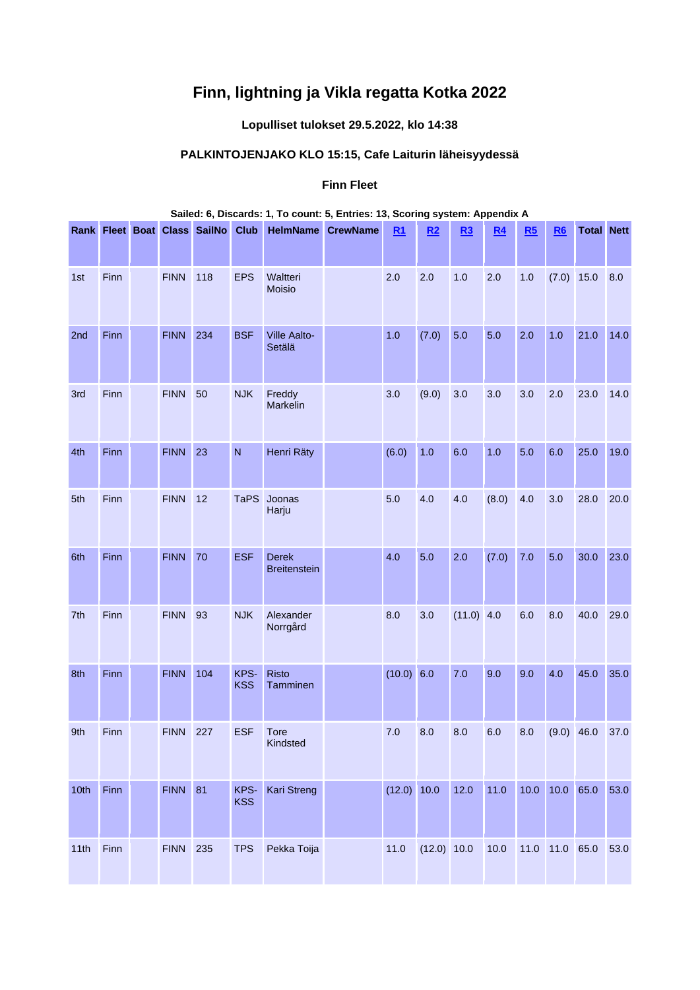# **Finn, lightning ja Vikla regatta Kotka 2022**

# **Lopulliset tulokset 29.5.2022, klo 14:38**

# **PALKINTOJENJAKO KLO 15:15, Cafe Laiturin läheisyydessä**

### **Finn Fleet**

|      |      |             |                                   |                    |                                     | Sailed: 6, Discards: 1, To count: 5, Entries: 13, Scoring system: Appendix A |             |             |              |                |                |                |                   |      |
|------|------|-------------|-----------------------------------|--------------------|-------------------------------------|------------------------------------------------------------------------------|-------------|-------------|--------------|----------------|----------------|----------------|-------------------|------|
|      |      |             | Rank Fleet Boat Class SailNo Club |                    |                                     | <b>HelmName CrewName</b>                                                     | R1          | R2          | R3           | R <sub>4</sub> | R5             | R6             | <b>Total Nett</b> |      |
| 1st  | Finn | <b>FINN</b> | 118                               | <b>EPS</b>         | Waltteri<br><b>Moisio</b>           |                                                                              | 2.0         | 2.0         | 1.0          | 2.0            | 1.0            | $(7.0)$ 15.0   |                   | 8.0  |
| 2nd  | Finn | <b>FINN</b> | 234                               | <b>BSF</b>         | Ville Aalto-<br>Setälä              |                                                                              | 1.0         | (7.0)       | 5.0          | 5.0            | 2.0            | 1.0            | 21.0              | 14.0 |
| 3rd  | Finn | <b>FINN</b> | 50                                | <b>NJK</b>         | Freddy<br>Markelin                  |                                                                              | 3.0         | (9.0)       | 3.0          | 3.0            | 3.0            | 2.0            | 23.0              | 14.0 |
| 4th  | Finn | <b>FINN</b> | 23                                | $\overline{N}$     | Henri Räty                          |                                                                              | (6.0)       | 1.0         | 6.0          | 1.0            | 5.0            | 6.0            | 25.0              | 19.0 |
| 5th  | Finn | <b>FINN</b> | 12                                | <b>TaPS</b>        | Joonas<br>Harju                     |                                                                              | 5.0         | 4.0         | 4.0          | (8.0)          | 4.0            | 3.0            | 28.0              | 20.0 |
| 6th  | Finn | <b>FINN</b> | 70                                | <b>ESF</b>         | <b>Derek</b><br><b>Breitenstein</b> |                                                                              | 4.0         | 5.0         | 2.0          | (7.0)          | 7.0            | 5.0            | 30.0              | 23.0 |
| 7th  | Finn | <b>FINN</b> | 93                                | <b>NJK</b>         | Alexander<br>Norrgård               |                                                                              | 8.0         | 3.0         | $(11.0)$ 4.0 |                | 6.0            | 8.0            | 40.0              | 29.0 |
| 8th  | Finn | <b>FINN</b> | 104                               | KPS-<br><b>KSS</b> | <b>Risto</b><br>Tamminen            |                                                                              | (10.0) 6.0  |             | 7.0          | 9.0            | 9.0            | 4.0            | 45.0              | 35.0 |
| 9th  | Finn | <b>FINN</b> | 227                               | <b>ESF</b>         | <b>Tore</b><br>Kindsted             |                                                                              | 7.0         | 8.0         | 8.0          | 6.0            | 8.0            | $(9.0)$ 46.0   |                   | 37.0 |
| 10th | Finn | <b>FINN</b> | 81                                | KPS-<br><b>KSS</b> | Kari Streng                         |                                                                              | (12.0) 10.0 |             | 12.0         | 11.0           | 10.0 10.0 65.0 |                |                   | 53.0 |
| 11th | Finn | <b>FINN</b> | 235                               | <b>TPS</b>         | Pekka Toija                         |                                                                              | 11.0        | (12.0) 10.0 |              | 10.0           |                | 11.0 11.0 65.0 |                   | 53.0 |

# **Sailed: 6, Discards: 1, To count: 5, Entries: 13, Scoring system: Appendix A**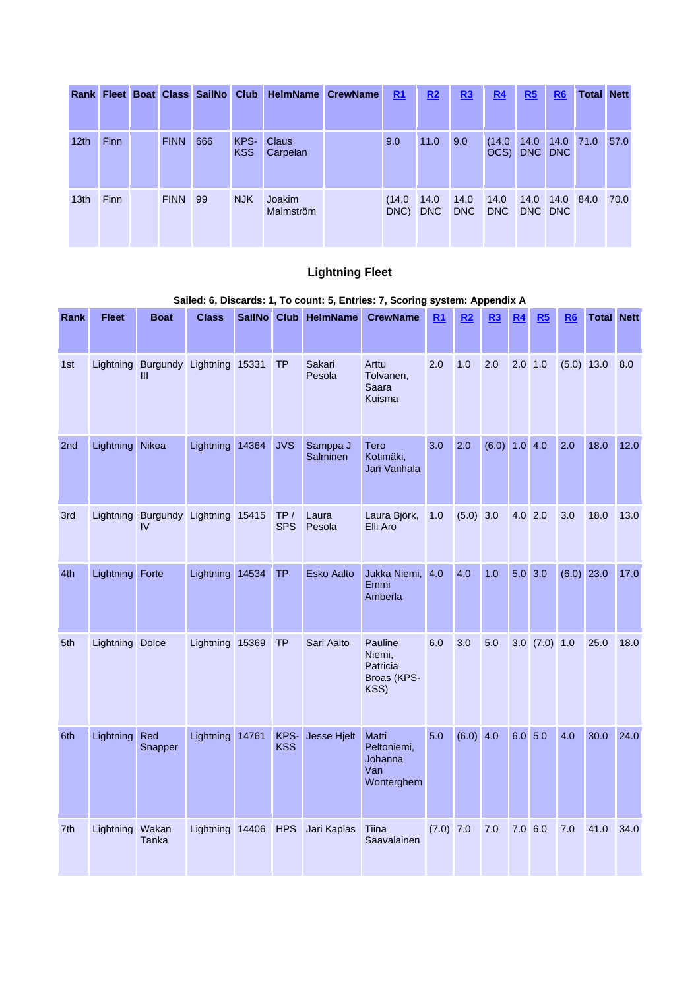|                  |             |             | Rank Fleet Boat Class SailNo Club |                    | <b>HelmName CrewName</b> | R1             | R <sub>2</sub> | R <sub>3</sub>     | <u>R4</u>              | $\underline{\mathbf{R5}}$ | R <sub>6</sub> | <b>Total Nett</b> |      |
|------------------|-------------|-------------|-----------------------------------|--------------------|--------------------------|----------------|----------------|--------------------|------------------------|---------------------------|----------------|-------------------|------|
| 12 <sub>th</sub> | <b>Finn</b> | <b>FINN</b> | 666                               | KPS-<br><b>KSS</b> | <b>Claus</b><br>Carpelan | 9.0            | 11.0           | 9.0                | (14.0)<br>OCS) DNC DNC | 14.0                      |                | 14.0 71.0         | 57.0 |
| 13 <sub>th</sub> | <b>Finn</b> | <b>FINN</b> | 99                                | <b>NJK</b>         | Joakim<br>Malmström      | (14.0)<br>DNC) | 14.0<br>DNC    | 14.0<br><b>DNC</b> | 14.0<br>DNC            | DNC DNC                   | 14.0 14.0 84.0 |                   | 70.0 |

# **Lightning Fleet**

# **Sailed: 6, Discards: 1, To count: 5, Entries: 7, Scoring system: Appendix A**

| Rank | <b>Fleet</b>    | <b>Boat</b>                              | <b>Class</b>    |       |                    | SailNo Club HelmName | <b>CrewName</b>                                      | R1        | R2          | <u>R3</u>     | R <sub>4</sub> | R5                | R <sub>6</sub> | <b>Total Nett</b> |      |
|------|-----------------|------------------------------------------|-----------------|-------|--------------------|----------------------|------------------------------------------------------|-----------|-------------|---------------|----------------|-------------------|----------------|-------------------|------|
| 1st  | Lightning       | Burgundy Lightning 15331<br>Ш            |                 |       | <b>TP</b>          | Sakari<br>Pesola     | Arttu<br>Tolvanen,<br>Saara<br>Kuisma                | 2.0       | 1.0         | 2.0           | 2.0            | 1.0               | (5.0)          | 13.0              | 8.0  |
| 2nd  | Lightning       | Nikea                                    | Lightning       | 14364 | <b>JVS</b>         | Samppa J<br>Salminen | Tero<br>Kotimäki,<br>Jari Vanhala                    | 3.0       | 2.0         | (6.0) 1.0 4.0 |                |                   | 2.0            | 18.0              | 12.0 |
| 3rd  |                 | Lightning Burgundy Lightning 15415<br>IV |                 |       | TP/<br><b>SPS</b>  | Laura<br>Pesola      | Laura Björk,<br>Elli Aro                             | 1.0       | $(5.0)$ 3.0 |               | $4.0$ 2.0      |                   | 3.0            | 18.0              | 13.0 |
| 4th  | Lightning Forte |                                          | Lightning       | 14534 | <b>TP</b>          | <b>Esko Aalto</b>    | Jukka Niemi,<br>Emmi<br>Amberla                      | 4.0       | 4.0         | 1.0           | $5.0$ 3.0      |                   | $(6.0)$ 23.0   |                   | 17.0 |
| 5th  | Lightning Dolce |                                          | Lightning       | 15369 | <b>TP</b>          | Sari Aalto           | Pauline<br>Niemi,<br>Patricia<br>Broas (KPS-<br>KSS) | 6.0       | 3.0         | 5.0           |                | $3.0$ $(7.0)$ 1.0 |                | 25.0              | 18.0 |
| 6th  | Lightning       | Red<br>Snapper                           | Lightning 14761 |       | KPS-<br><b>KSS</b> | <b>Jesse Hjelt</b>   | Matti<br>Peltoniemi,<br>Johanna<br>Van<br>Wonterghem | 5.0       | (6.0) 4.0   |               | $6.0$ 5.0      |                   | 4.0            | 30.0              | 24.0 |
| 7th  | Lightning       | Wakan<br>Tanka                           | Lightning 14406 |       | <b>HPS</b>         | Jari Kaplas          | Tiina<br>Saavalainen                                 | (7.0) 7.0 |             | 7.0           | 7.06.0         |                   | 7.0            | 41.0              | 34.0 |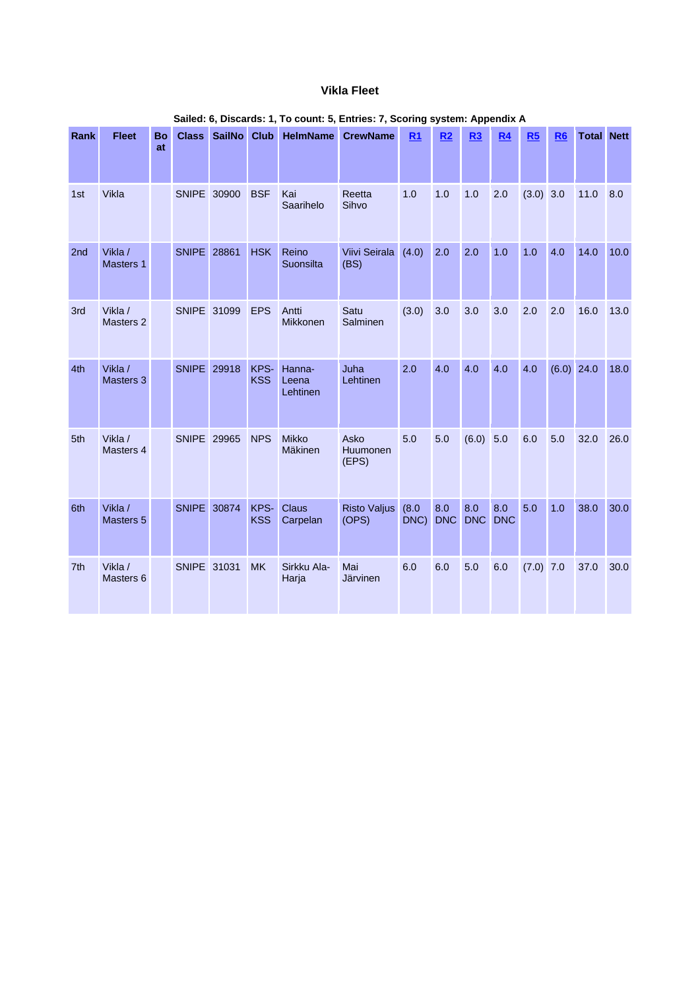#### **Vikla Fleet**

| Rank            | <b>Fleet</b>         | <b>Bo</b><br>at | <b>Class</b>       | <b>SailNo</b> | <b>Club</b>        | <b>HelmName</b>             | <b>CrewName</b>              | R <sub>1</sub> | R <sub>2</sub>    | R3                | <b>R4</b>         | R <sub>5</sub> | R <sub>6</sub> | <b>Total Nett</b> |      |
|-----------------|----------------------|-----------------|--------------------|---------------|--------------------|-----------------------------|------------------------------|----------------|-------------------|-------------------|-------------------|----------------|----------------|-------------------|------|
| 1st             | Vikla                |                 | SNIPE 30900        |               | <b>BSF</b>         | Kai<br>Saarihelo            | Reetta<br>Sihvo              | 1.0            | 1.0               | 1.0               | 2.0               | $(3.0)$ 3.0    |                | 11.0              | 8.0  |
| 2nd             | Vikla /<br>Masters 1 |                 | <b>SNIPE</b> 28861 |               | <b>HSK</b>         | Reino<br>Suonsilta          | Viivi Seirala<br>(BS)        | (4.0)          | 2.0               | 2.0               | 1.0               | 1.0            | 4.0            | 14.0              | 10.0 |
| 3rd             | Vikla /<br>Masters 2 |                 | <b>SNIPE</b> 31099 |               | <b>EPS</b>         | Antti<br><b>Mikkonen</b>    | Satu<br>Salminen             | (3.0)          | 3.0               | 3.0               | 3.0               | 2.0            | 2.0            | 16.0              | 13.0 |
| 4th             | Vikla /<br>Masters 3 |                 | <b>SNIPE</b> 29918 |               | KPS-<br><b>KSS</b> | Hanna-<br>Leena<br>Lehtinen | Juha<br>Lehtinen             | 2.0            | 4.0               | 4.0               | 4.0               | 4.0            | $(6.0)$ 24.0   |                   | 18.0 |
| 5th             | Vikla /<br>Masters 4 |                 | <b>SNIPE</b> 29965 |               | <b>NPS</b>         | <b>Mikko</b><br>Mäkinen     | Asko<br>Huumonen<br>(EPS)    | 5.0            | 5.0               | (6.0)             | 5.0               | 6.0            | 5.0            | 32.0              | 26.0 |
| 6th             | Vikla /<br>Masters 5 |                 | SNIPE 30874        |               | KPS-<br><b>KSS</b> | Claus<br>Carpelan           | <b>Risto Valjus</b><br>(OPS) | (8.0)<br>DNC)  | 8.0<br><b>DNC</b> | 8.0<br><b>DNC</b> | 8.0<br><b>DNC</b> | 5.0            | 1.0            | 38.0              | 30.0 |
| 7 <sup>th</sup> | Vikla /<br>Masters 6 |                 | SNIPE 31031        |               | <b>MK</b>          | Sirkku Ala-<br>Harja        | Mai<br>Järvinen              | 6.0            | 6.0               | 5.0               | 6.0               | $(7.0)$ 7.0    |                | 37.0              | 30.0 |

#### **Sailed: 6, Discards: 1, To count: 5, Entries: 7, Scoring system: Appendix A**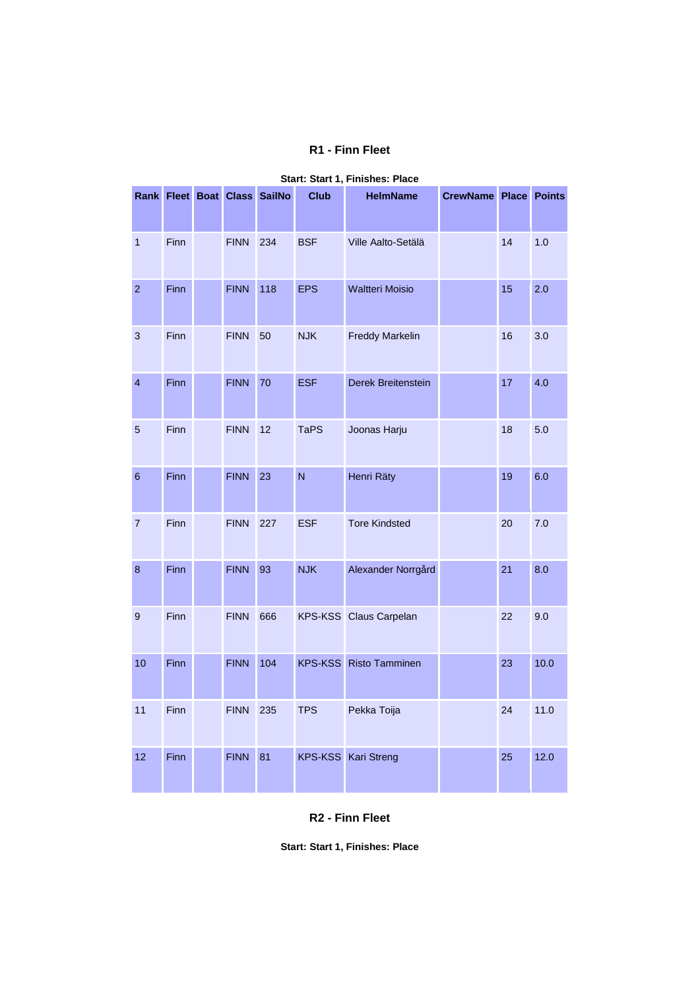### **R1 - Finn Fleet**

|                |      |             | Rank Fleet Boat Class SailNo | .,<br><b>Club</b> | <b>HelmName</b>        | CrewName Place |    | <b>Points</b> |
|----------------|------|-------------|------------------------------|-------------------|------------------------|----------------|----|---------------|
|                |      |             |                              |                   |                        |                |    |               |
| $\mathbf{1}$   | Finn | <b>FINN</b> | 234                          | <b>BSF</b>        | Ville Aalto-Setälä     |                | 14 | 1.0           |
| $\mathbf{2}$   | Finn | <b>FINN</b> | 118                          | <b>EPS</b>        | <b>Waltteri Moisio</b> |                | 15 | 2.0           |
| 3              | Finn | <b>FINN</b> | 50                           | <b>NJK</b>        | <b>Freddy Markelin</b> |                | 16 | 3.0           |
| $\overline{4}$ | Finn | <b>FINN</b> | 70                           | <b>ESF</b>        | Derek Breitenstein     |                | 17 | 4.0           |
| $\overline{5}$ | Finn | <b>FINN</b> | 12                           | <b>TaPS</b>       | Joonas Harju           |                | 18 | 5.0           |
| 6              | Finn | <b>FINN</b> | 23                           | N                 | Henri Räty             |                | 19 | 6.0           |
| $\overline{7}$ | Finn | <b>FINN</b> | 227                          | <b>ESF</b>        | <b>Tore Kindsted</b>   |                | 20 | 7.0           |
| $\bf 8$        | Finn | <b>FINN</b> | 93                           | <b>NJK</b>        | Alexander Norrgård     |                | 21 | 8.0           |
| 9              | Finn | <b>FINN</b> | 666                          |                   | KPS-KSS Claus Carpelan |                | 22 | 9.0           |
| 10             | Finn | <b>FINN</b> | 104                          | <b>KPS-KSS</b>    | <b>Risto Tamminen</b>  |                | 23 | 10.0          |
| 11             | Finn | <b>FINN</b> | 235                          | <b>TPS</b>        | Pekka Toija            |                | 24 | 11.0          |
| 12             | Finn | <b>FINN</b> | 81                           | <b>KPS-KSS</b>    | <b>Kari Streng</b>     |                | 25 | 12.0          |

#### **Start: Start 1, Finishes: Place**

**R2 - Finn Fleet**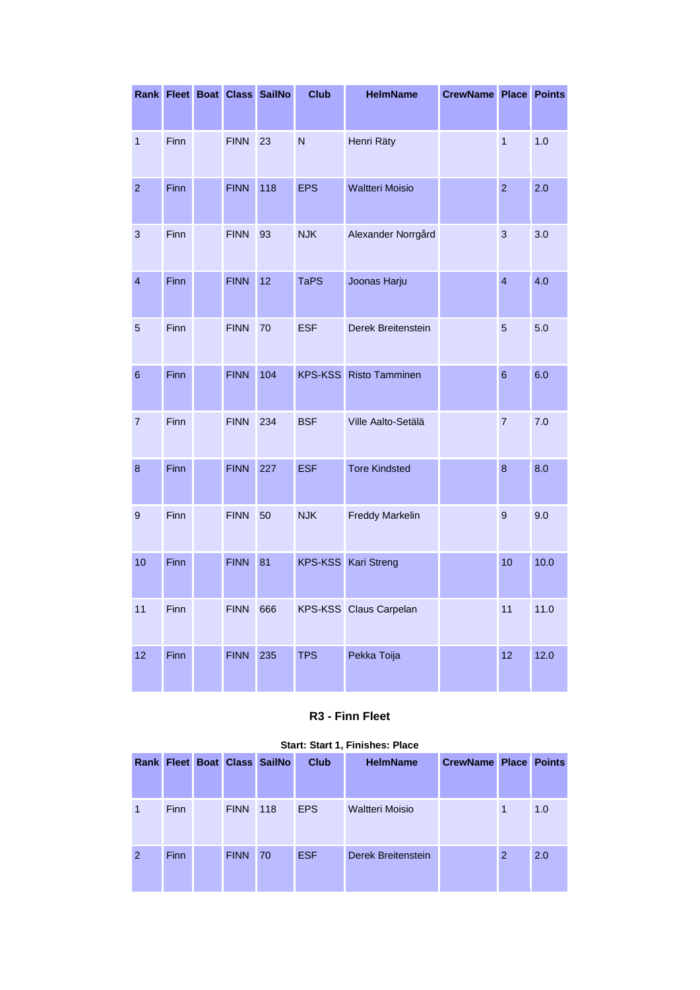|                          |      |             | Rank Fleet Boat Class SailNo | <b>Club</b>    | <b>HelmName</b>        | CrewName Place |                         | <b>Points</b> |
|--------------------------|------|-------------|------------------------------|----------------|------------------------|----------------|-------------------------|---------------|
|                          |      |             |                              |                |                        |                |                         |               |
| $\overline{1}$           | Finn | <b>FINN</b> | 23                           | $\overline{N}$ | Henri Räty             |                | $\overline{1}$          | 1.0           |
| $\overline{2}$           | Finn | <b>FINN</b> | 118                          | <b>EPS</b>     | <b>Waltteri Moisio</b> |                | $\overline{2}$          | 2.0           |
| $\mathbf{3}$             | Finn | <b>FINN</b> | 93                           | <b>NJK</b>     | Alexander Norrgård     |                | 3                       | 3.0           |
| $\overline{\mathbf{4}}$  | Finn | <b>FINN</b> | 12                           | <b>TaPS</b>    | Joonas Harju           |                | $\overline{\mathbf{4}}$ | 4.0           |
| 5                        | Finn | <b>FINN</b> | 70                           | <b>ESF</b>     | Derek Breitenstein     |                | 5                       | 5.0           |
| $\,$ 6 $\,$              | Finn | <b>FINN</b> | 104                          | <b>KPS-KSS</b> | <b>Risto Tamminen</b>  |                | 6                       | 6.0           |
| $\overline{\mathcal{I}}$ | Finn | <b>FINN</b> | 234                          | <b>BSF</b>     | Ville Aalto-Setälä     |                | $\overline{7}$          | 7.0           |
| $\bf8$                   | Finn | <b>FINN</b> | 227                          | <b>ESF</b>     | <b>Tore Kindsted</b>   |                | 8                       | 8.0           |
| 9                        | Finn | <b>FINN</b> | 50                           | <b>NJK</b>     | <b>Freddy Markelin</b> |                | 9                       | 9.0           |
| 10                       | Finn | <b>FINN</b> | 81                           | <b>KPS-KSS</b> | <b>Kari Streng</b>     |                | 10                      | 10.0          |
| 11                       | Finn | <b>FINN</b> | 666                          |                | KPS-KSS Claus Carpelan |                | 11                      | 11.0          |
| 12                       | Finn | <b>FINN</b> | 235                          | <b>TPS</b>     | Pekka Toija            |                | 12                      | 12.0          |

# **R3 - Finn Fleet**

|                |             |             | <b>Rank Fleet Boat Class SailNo</b> | <b>Club</b> | <b>HelmName</b>        | <b>CrewName Place Points</b> |   |     |
|----------------|-------------|-------------|-------------------------------------|-------------|------------------------|------------------------------|---|-----|
|                |             |             |                                     |             |                        |                              |   |     |
| 1              | <b>Finn</b> | <b>FINN</b> | 118                                 | <b>EPS</b>  | <b>Waltteri Moisio</b> |                              | 1 | 1.0 |
| $\overline{2}$ | <b>Finn</b> | <b>FINN</b> | 70                                  | <b>ESF</b>  | Derek Breitenstein     |                              | 2 | 2.0 |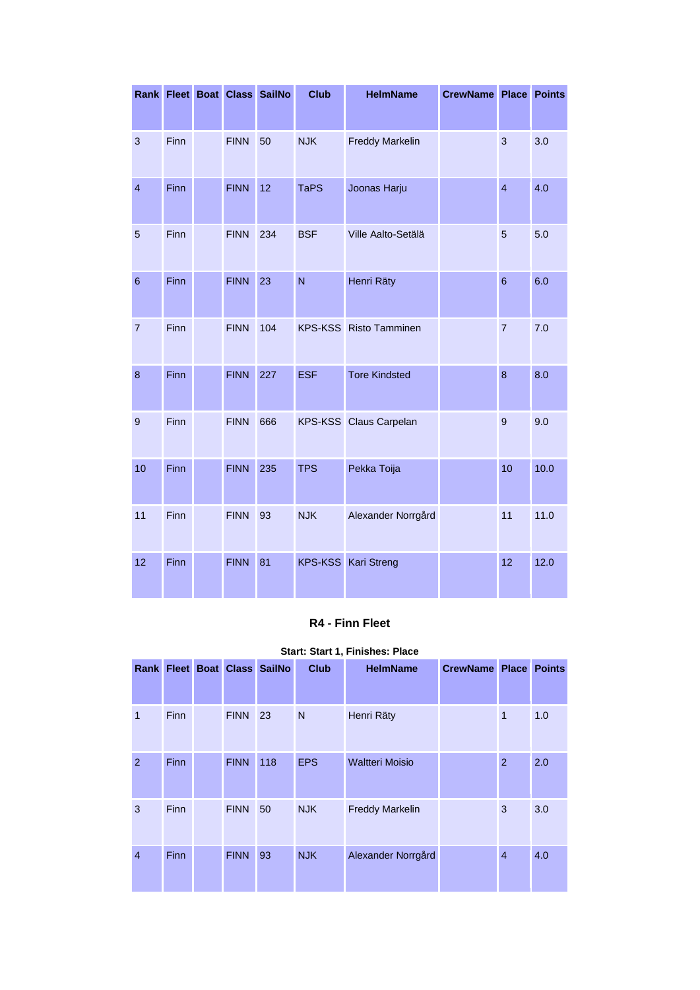|                         |      |             | Rank Fleet Boat Class SailNo | <b>Club</b>    | <b>HelmName</b>        | <b>CrewName Place</b> |                 | <b>Points</b> |
|-------------------------|------|-------------|------------------------------|----------------|------------------------|-----------------------|-----------------|---------------|
| $\mathsf 3$             | Finn | <b>FINN</b> | 50                           | <b>NJK</b>     | <b>Freddy Markelin</b> |                       | 3               | 3.0           |
| $\overline{\mathbf{4}}$ | Finn | <b>FINN</b> | 12                           | <b>TaPS</b>    | Joonas Harju           |                       | $\overline{4}$  | 4.0           |
| $\overline{5}$          | Finn | <b>FINN</b> | 234                          | <b>BSF</b>     | Ville Aalto-Setälä     |                       | 5               | 5.0           |
| $\,$ 6 $\,$             | Finn | <b>FINN</b> | 23                           | N              | Henri Räty             |                       | $6\phantom{1}6$ | 6.0           |
| $\overline{7}$          | Finn | <b>FINN</b> | 104                          |                | KPS-KSS Risto Tamminen |                       | $\overline{7}$  | 7.0           |
| $\bf{8}$                | Finn | <b>FINN</b> | 227                          | <b>ESF</b>     | <b>Tore Kindsted</b>   |                       | 8               | 8.0           |
| $\boldsymbol{9}$        | Finn | <b>FINN</b> | 666                          |                | KPS-KSS Claus Carpelan |                       | 9               | 9.0           |
| 10                      | Finn | <b>FINN</b> | 235                          | <b>TPS</b>     | Pekka Toija            |                       | 10              | 10.0          |
| 11                      | Finn | <b>FINN</b> | 93                           | <b>NJK</b>     | Alexander Norrgård     |                       | 11              | 11.0          |
| 12                      | Finn | <b>FINN</b> | 81                           | <b>KPS-KSS</b> | Kari Streng            |                       | 12              | 12.0          |

#### **R4 - Finn Fleet**

|                |             |             | Rank Fleet Boat Class SailNo | <b>Club</b>  | <b>HelmName</b>        | <b>CrewName Place</b> |                | <b>Points</b> |
|----------------|-------------|-------------|------------------------------|--------------|------------------------|-----------------------|----------------|---------------|
|                |             |             |                              |              |                        |                       |                |               |
| 1              | <b>Finn</b> | <b>FINN</b> | 23                           | $\mathsf{N}$ | Henri Räty             |                       | $\mathbf{1}$   | 1.0           |
| $\overline{2}$ | <b>Finn</b> | <b>FINN</b> | 118                          | <b>EPS</b>   | <b>Waltteri Moisio</b> |                       | $\overline{2}$ | 2.0           |
| 3              | Finn        | <b>FINN</b> | 50                           | <b>NJK</b>   | <b>Freddy Markelin</b> |                       | 3              | 3.0           |
| $\overline{4}$ | <b>Finn</b> | <b>FINN</b> | 93                           | <b>NJK</b>   | Alexander Norrgård     |                       | $\overline{4}$ | 4.0           |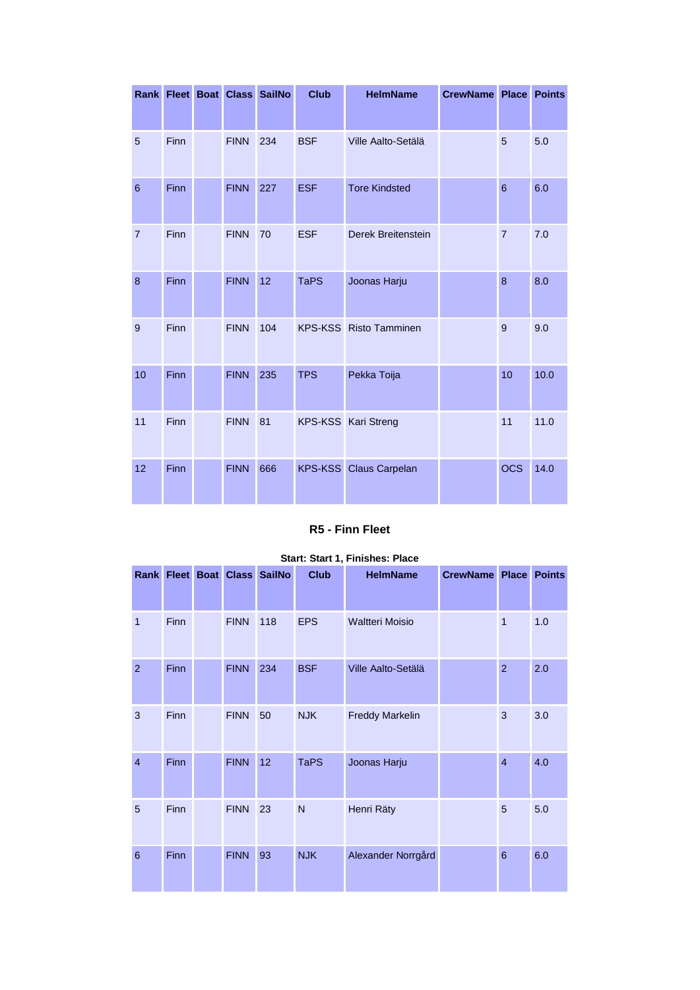|                |      |             | Rank Fleet Boat Class SailNo | <b>Club</b> | <b>HelmName</b>               | <b>CrewName Place Points</b> |                |      |
|----------------|------|-------------|------------------------------|-------------|-------------------------------|------------------------------|----------------|------|
| 5              | Finn | <b>FINN</b> | 234                          | <b>BSF</b>  | Ville Aalto-Setälä            |                              | 5              | 5.0  |
| 6              | Finn | <b>FINN</b> | 227                          | <b>ESF</b>  | <b>Tore Kindsted</b>          |                              | $6\phantom{1}$ | 6.0  |
| $\overline{7}$ | Finn | <b>FINN</b> | 70                           | <b>ESF</b>  | Derek Breitenstein            |                              | $\overline{7}$ | 7.0  |
| 8              | Finn | <b>FINN</b> | 12                           | <b>TaPS</b> | Joonas Harju                  |                              | 8              | 8.0  |
| 9              | Finn | <b>FINN</b> | 104                          |             | <b>KPS-KSS</b> Risto Tamminen |                              | $9$            | 9.0  |
| 10             | Finn | <b>FINN</b> | 235                          | <b>TPS</b>  | Pekka Toija                   |                              | 10             | 10.0 |
| 11             | Finn | <b>FINN</b> | 81                           |             | KPS-KSS Kari Streng           |                              | 11             | 11.0 |
| 12             | Finn | <b>FINN</b> | 666                          |             | <b>KPS-KSS</b> Claus Carpelan |                              | <b>OCS</b>     | 14.0 |

### **R5 - Finn Fleet**

|                 |             |             |                              |             | Start: Start 1, Finishes: Place |                       |                |               |
|-----------------|-------------|-------------|------------------------------|-------------|---------------------------------|-----------------------|----------------|---------------|
|                 |             |             | Rank Fleet Boat Class SailNo | <b>Club</b> | <b>HelmName</b>                 | <b>CrewName Place</b> |                | <b>Points</b> |
| 1               | <b>Finn</b> | <b>FINN</b> | 118                          | <b>EPS</b>  | <b>Waltteri Moisio</b>          |                       | $\mathbf{1}$   | 1.0           |
| $\overline{2}$  | Finn        | <b>FINN</b> | 234                          | <b>BSF</b>  | Ville Aalto-Setälä              |                       | $\overline{2}$ | 2.0           |
| 3               | <b>Finn</b> | <b>FINN</b> | 50                           | <b>NJK</b>  | <b>Freddy Markelin</b>          |                       | 3              | 3.0           |
| $\overline{4}$  | <b>Finn</b> | <b>FINN</b> | 12                           | <b>TaPS</b> | Joonas Harju                    |                       | $\overline{4}$ | 4.0           |
| 5               | Finn        | <b>FINN</b> | 23                           | N           | Henri Räty                      |                       | 5              | 5.0           |
| $6\phantom{1}6$ | <b>Finn</b> | <b>FINN</b> | 93                           | <b>NJK</b>  | Alexander Norrgård              |                       | 6              | 6.0           |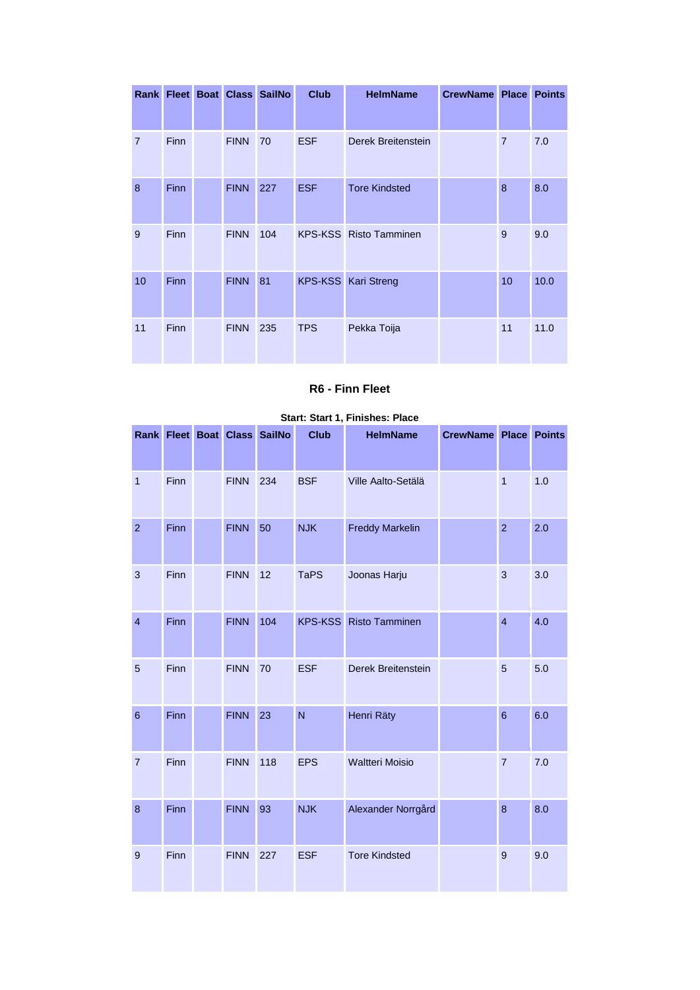|                |             |             | Rank Fleet Boat Class SailNo | <b>Club</b> | <b>HelmName</b>               | <b>CrewName Place Points</b> |                |      |
|----------------|-------------|-------------|------------------------------|-------------|-------------------------------|------------------------------|----------------|------|
|                |             |             |                              |             |                               |                              |                |      |
| $\overline{7}$ | Finn        | <b>FINN</b> | 70                           | <b>ESF</b>  | Derek Breitenstein            |                              | $\overline{7}$ | 7.0  |
| 8              | <b>Finn</b> | <b>FINN</b> | 227                          | <b>ESF</b>  | <b>Tore Kindsted</b>          |                              | 8              | 8.0  |
| 9              | Finn        | <b>FINN</b> | 104                          |             | <b>KPS-KSS</b> Risto Tamminen |                              | 9              | 9.0  |
| 10             | Finn        | <b>FINN</b> | 81                           |             | <b>KPS-KSS</b> Kari Streng    |                              | 10             | 10.0 |
| 11             | <b>Finn</b> | <b>FINN</b> | 235                          | <b>TPS</b>  | Pekka Toija                   |                              | 11             | 11.0 |

### **R6 - Finn Fleet**

|                         |      |             | Rank Fleet Boat Class SailNo | <b>Club</b>    | <b>HelmName</b>        | <b>CrewName Place Points</b> |                  |     |
|-------------------------|------|-------------|------------------------------|----------------|------------------------|------------------------------|------------------|-----|
|                         |      |             |                              |                |                        |                              |                  |     |
| $\overline{\mathbf{1}}$ | Finn | <b>FINN</b> | 234                          | <b>BSF</b>     | Ville Aalto-Setälä     |                              | $\overline{1}$   | 1.0 |
| $\overline{2}$          | Finn | <b>FINN</b> | 50                           | <b>NJK</b>     | <b>Freddy Markelin</b> |                              | $\overline{2}$   | 2.0 |
| $\sqrt{3}$              | Finn | <b>FINN</b> | 12                           | <b>TaPS</b>    | Joonas Harju           |                              | 3                | 3.0 |
| $\overline{\mathbf{4}}$ | Finn | <b>FINN</b> | 104                          | <b>KPS-KSS</b> | <b>Risto Tamminen</b>  |                              | $\overline{4}$   | 4.0 |
| 5                       | Finn | <b>FINN</b> | 70                           | <b>ESF</b>     | Derek Breitenstein     |                              | 5                | 5.0 |
| $\,$ 6 $\,$             | Finn | <b>FINN</b> | 23                           | N              | Henri Räty             |                              | $\boldsymbol{6}$ | 6.0 |
| $\overline{7}$          | Finn | <b>FINN</b> | 118                          | <b>EPS</b>     | <b>Waltteri Moisio</b> |                              | $\overline{7}$   | 7.0 |
| 8                       | Finn | <b>FINN</b> | 93                           | <b>NJK</b>     | Alexander Norrgård     |                              | $\bf 8$          | 8.0 |
| $\overline{9}$          | Finn | <b>FINN</b> | 227                          | <b>ESF</b>     | <b>Tore Kindsted</b>   |                              | 9                | 9.0 |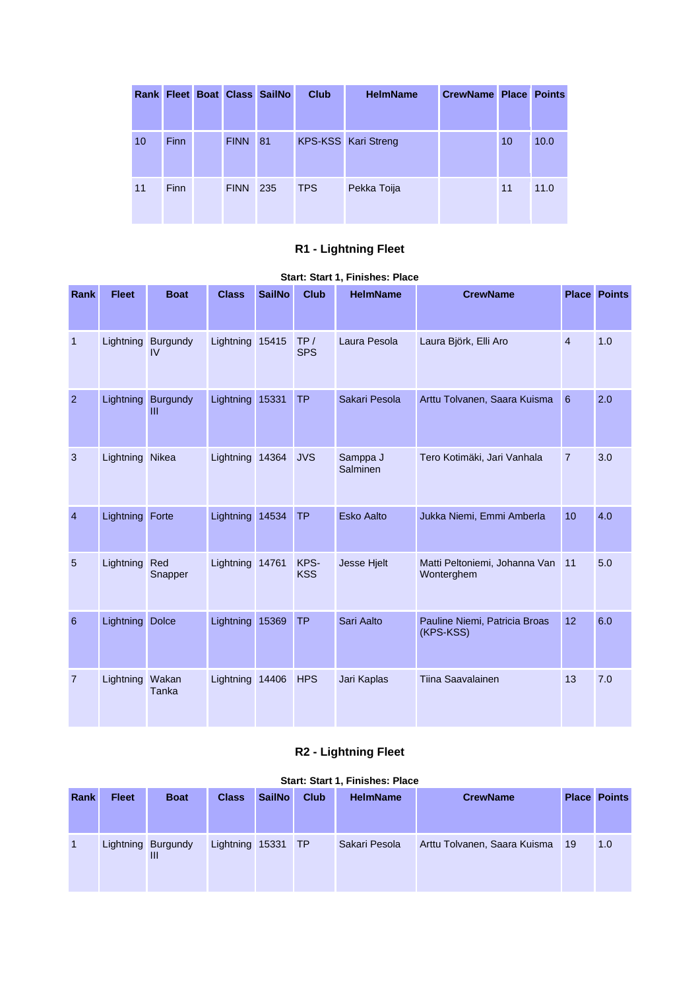|    |             |             | <b>Rank Fleet Boat Class SailNo</b> | <b>Club</b> | <b>HelmName</b>     | <b>CrewName Place Points</b> |    |      |
|----|-------------|-------------|-------------------------------------|-------------|---------------------|------------------------------|----|------|
| 10 | <b>Finn</b> | <b>FINN</b> | 81                                  |             | KPS-KSS Kari Streng |                              | 10 | 10.0 |
| 11 | <b>Finn</b> | <b>FINN</b> | 235                                 | <b>TPS</b>  | Pekka Toija         |                              | 11 | 11.0 |

# **R1 - Lightning Fleet**

### **Start: Start 1, Finishes: Place**

| <b>Rank</b>    | <b>Fleet</b>    | <b>Boat</b>              | <b>Class</b>    | <b>SailNo</b> | <b>Club</b>        | <b>HelmName</b>      | <b>CrewName</b>                             |                | <b>Place Points</b> |
|----------------|-----------------|--------------------------|-----------------|---------------|--------------------|----------------------|---------------------------------------------|----------------|---------------------|
|                |                 |                          |                 |               |                    |                      |                                             |                |                     |
| $\mathbf{1}$   |                 | Lightning Burgundy<br>IV | Lightning 15415 |               | TP/<br><b>SPS</b>  | Laura Pesola         | Laura Björk, Elli Aro                       | $\overline{4}$ | 1.0                 |
| $\overline{2}$ |                 | Lightning Burgundy<br>Ш  | Lightning 15331 |               | <b>TP</b>          | Sakari Pesola        | Arttu Tolvanen, Saara Kuisma                | 6              | 2.0                 |
| $\mathbf{3}$   | Lightning Nikea |                          | Lightning 14364 |               | <b>JVS</b>         | Samppa J<br>Salminen | Tero Kotimäki, Jari Vanhala                 | $\overline{7}$ | 3.0                 |
| $\overline{4}$ | Lightning Forte |                          | Lightning 14534 |               | <b>TP</b>          | <b>Esko Aalto</b>    | Jukka Niemi, Emmi Amberla                   | 10             | 4.0                 |
| 5              | Lightning       | Red<br>Snapper           | Lightning 14761 |               | KPS-<br><b>KSS</b> | Jesse Hjelt          | Matti Peltoniemi, Johanna Van<br>Wonterghem | 11             | 5.0                 |
| 6              | Lightning       | <b>Dolce</b>             | Lightning 15369 |               | <b>TP</b>          | Sari Aalto           | Pauline Niemi, Patricia Broas<br>(KPS-KSS)  | 12             | 6.0                 |
| $\overline{7}$ | Lightning       | Wakan<br>Tanka           | Lightning 14406 |               | <b>HPS</b>         | Jari Kaplas          | <b>Tiina Saavalainen</b>                    | 13             | 7.0                 |

# **R2 - Lightning Fleet**

| Rank | <b>Fleet</b> | <b>Boat</b>        | <b>Class</b>       | <b>SailNo</b> | <b>Club</b> | <b>HelmName</b> | <b>CrewName</b>              |    | <b>Place Points</b> |
|------|--------------|--------------------|--------------------|---------------|-------------|-----------------|------------------------------|----|---------------------|
|      |              | Lightning Burgundy | Lightning 15331 TP |               |             | Sakari Pesola   | Arttu Tolvanen, Saara Kuisma | 19 | 1.0                 |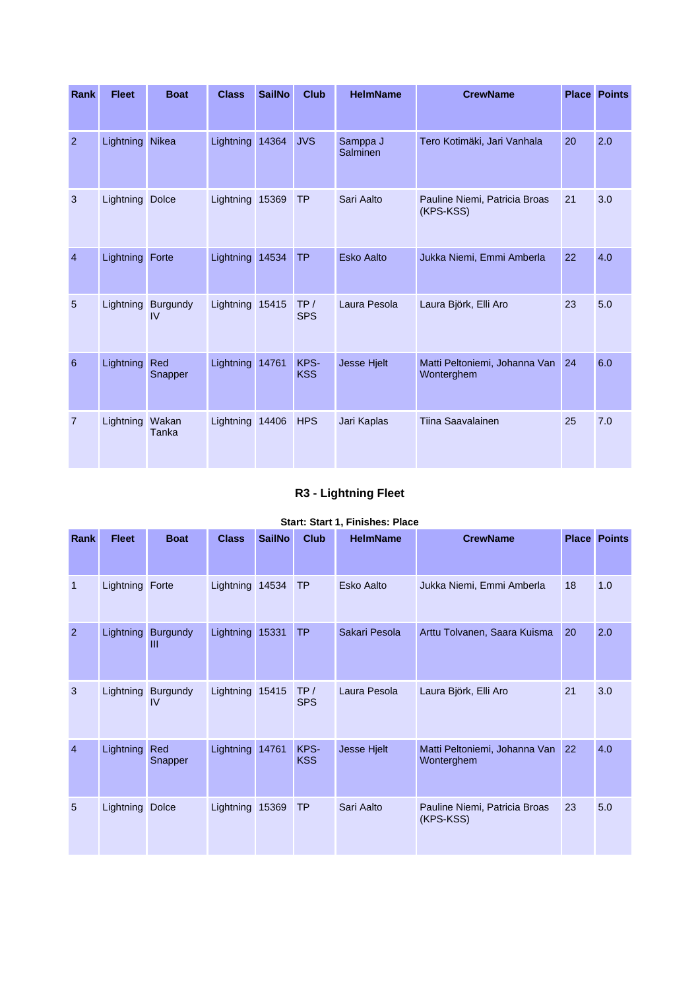| <b>Rank</b>    | <b>Fleet</b>    | <b>Boat</b>    | <b>Class</b>    | <b>SailNo</b> | <b>Club</b>        | <b>HelmName</b>             | <b>CrewName</b>                             |    | <b>Place Points</b> |
|----------------|-----------------|----------------|-----------------|---------------|--------------------|-----------------------------|---------------------------------------------|----|---------------------|
| $\overline{2}$ | Lightning       | Nikea          | Lightning 14364 |               | <b>JVS</b>         | Samppa J<br><b>Salminen</b> | Tero Kotimäki, Jari Vanhala                 | 20 | 2.0                 |
| 3              | Lightning Dolce |                | Lightning 15369 |               | <b>TP</b>          | Sari Aalto                  | Pauline Niemi, Patricia Broas<br>(KPS-KSS)  | 21 | 3.0                 |
| $\overline{4}$ | Lightning Forte |                | Lightning 14534 |               | <b>TP</b>          | <b>Esko Aalto</b>           | Jukka Niemi, Emmi Amberla                   | 22 | 4.0                 |
| 5              | Lightning       | Burgundy<br>IV | Lightning 15415 |               | TP/<br><b>SPS</b>  | Laura Pesola                | Laura Björk, Elli Aro                       | 23 | 5.0                 |
| 6              | Lightning       | Red<br>Snapper | Lightning 14761 |               | KPS-<br><b>KSS</b> | Jesse Hjelt                 | Matti Peltoniemi, Johanna Van<br>Wonterghem | 24 | 6.0                 |
| $\overline{7}$ | Lightning       | Wakan<br>Tanka | Lightning 14406 |               | <b>HPS</b>         | Jari Kaplas                 | Tiina Saavalainen                           | 25 | 7.0                 |

# **R3 - Lightning Fleet**

| Rank           | <b>Fleet</b>    | <b>Boat</b>           | <b>Class</b>    | <b>SailNo</b> | <b>Club</b>        | <b>HelmName</b> | <b>CrewName</b>                             |    | <b>Place Points</b> |
|----------------|-----------------|-----------------------|-----------------|---------------|--------------------|-----------------|---------------------------------------------|----|---------------------|
| $\mathbf{1}$   | Lightning Forte |                       | Lightning 14534 |               | <b>TP</b>          | Esko Aalto      | Jukka Niemi, Emmi Amberla                   | 18 | 1.0                 |
| $\overline{2}$ | Lightning       | <b>Burgundy</b><br>Ш  | Lightning 15331 |               | <b>TP</b>          | Sakari Pesola   | Arttu Tolvanen, Saara Kuisma                | 20 | 2.0                 |
| 3              | Lightning       | <b>Burgundy</b><br>IV | Lightning 15415 |               | TP/<br><b>SPS</b>  | Laura Pesola    | Laura Björk, Elli Aro                       | 21 | 3.0                 |
| $\overline{4}$ | Lightning       | Red<br>Snapper        | Lightning       | 14761         | KPS-<br><b>KSS</b> | Jesse Hjelt     | Matti Peltoniemi, Johanna Van<br>Wonterghem | 22 | 4.0                 |
| 5              | Lightning Dolce |                       | Lightning 15369 |               | <b>TP</b>          | Sari Aalto      | Pauline Niemi, Patricia Broas<br>(KPS-KSS)  | 23 | 5.0                 |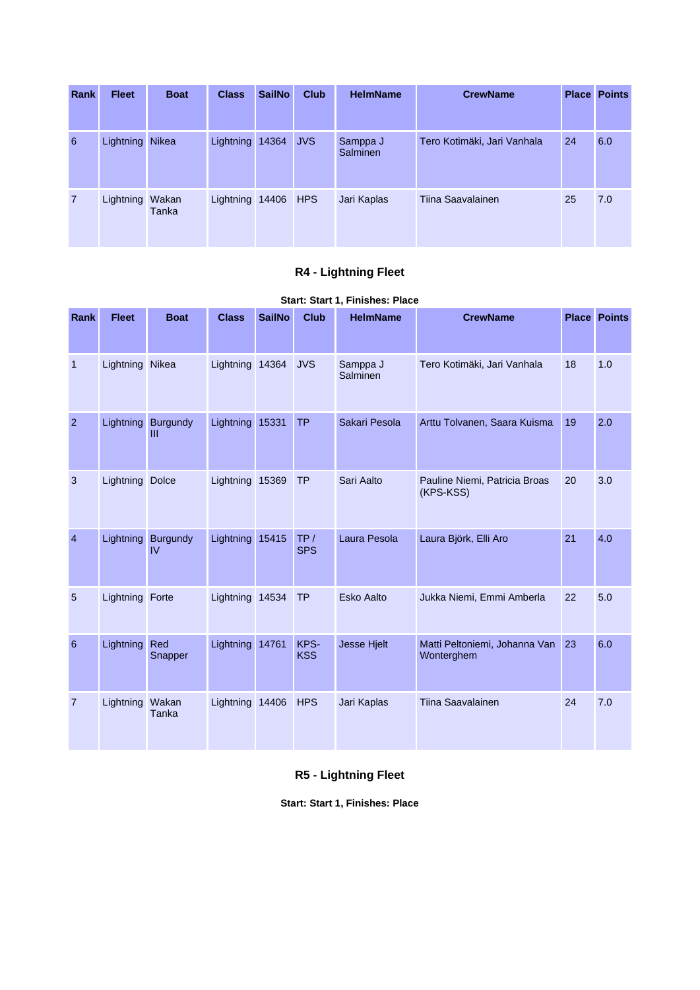| <b>Rank</b>    | <b>Fleet</b>    | <b>Boat</b> | <b>Class</b>        | <b>SailNo</b> | <b>Club</b> | <b>HelmName</b>             | <b>CrewName</b>             |    | <b>Place Points</b> |
|----------------|-----------------|-------------|---------------------|---------------|-------------|-----------------------------|-----------------------------|----|---------------------|
| 6              | Lightning Nikea |             | Lightning 14364     |               | <b>JVS</b>  | Samppa J<br><b>Salminen</b> | Tero Kotimäki, Jari Vanhala | 24 | 6.0                 |
| $\overline{7}$ | Lightning Wakan | Tanka       | Lightning 14406 HPS |               |             | Jari Kaplas                 | Tiina Saavalainen           | 25 | 7.0                 |

# **R4 - Lightning Fleet**

### **Start: Start 1, Finishes: Place**

| Rank           | <b>Fleet</b>           | <b>Boat</b>           | <b>Class</b>    | <b>SailNo</b> | <b>Club</b>        | <b>HelmName</b>             | <b>CrewName</b>                                |    | <b>Place Points</b> |
|----------------|------------------------|-----------------------|-----------------|---------------|--------------------|-----------------------------|------------------------------------------------|----|---------------------|
| $\mathbf{1}$   | Lightning Nikea        |                       | Lightning 14364 |               | <b>JVS</b>         | Samppa J<br><b>Salminen</b> | Tero Kotimäki, Jari Vanhala                    | 18 | 1.0                 |
| 2              | Lightning              | Burgundy<br>Ш         | Lightning 15331 |               | <b>TP</b>          | Sakari Pesola               | Arttu Tolvanen, Saara Kuisma                   | 19 | 2.0                 |
| 3              | <b>Lightning Dolce</b> |                       | Lightning 15369 |               | <b>TP</b>          | Sari Aalto                  | Pauline Niemi, Patricia Broas<br>(KPS-KSS)     | 20 | 3.0                 |
| $\overline{4}$ | Lightning              | <b>Burgundy</b><br>IV | Lightning 15415 |               | TP/<br><b>SPS</b>  | Laura Pesola                | Laura Björk, Elli Aro                          | 21 | 4.0                 |
| 5              | Lightning Forte        |                       | Lightning 14534 |               | <b>TP</b>          | <b>Esko Aalto</b>           | Jukka Niemi, Emmi Amberla                      | 22 | 5.0                 |
| 6              | Lightning              | Red<br>Snapper        | Lightning 14761 |               | KPS-<br><b>KSS</b> | <b>Jesse Hjelt</b>          | Matti Peltoniemi, Johanna Van 23<br>Wonterghem |    | 6.0                 |
| $\overline{7}$ | Lightning Wakan        | Tanka                 | Lightning 14406 |               | <b>HPS</b>         | Jari Kaplas                 | Tiina Saavalainen                              | 24 | 7.0                 |

# **R5 - Lightning Fleet**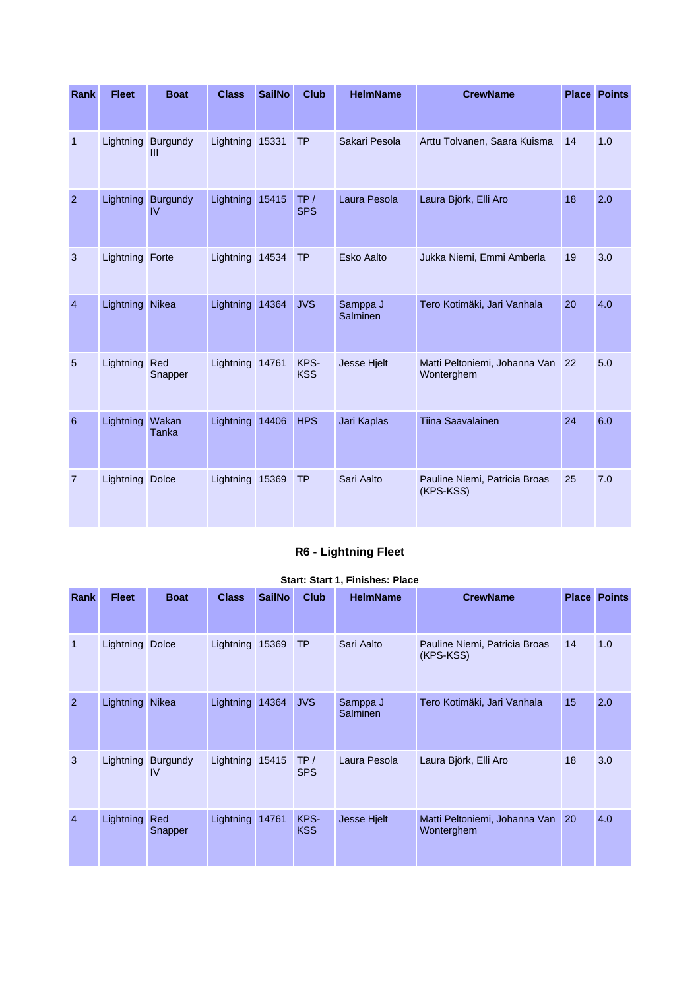| <b>Rank</b>    | <b>Fleet</b>    | <b>Boat</b>                        | <b>Class</b>    | <b>SailNo</b> | <b>Club</b>        | <b>HelmName</b>      | <b>CrewName</b>                                |    | <b>Place Points</b> |
|----------------|-----------------|------------------------------------|-----------------|---------------|--------------------|----------------------|------------------------------------------------|----|---------------------|
| $\mathbf{1}$   |                 | Lightning Burgundy<br>$\mathbf{m}$ | Lightning 15331 |               | <b>TP</b>          | Sakari Pesola        | Arttu Tolvanen, Saara Kuisma                   | 14 | 1.0                 |
| $\overline{2}$ |                 | Lightning Burgundy<br>IV           | Lightning 15415 |               | TP/<br><b>SPS</b>  | Laura Pesola         | Laura Björk, Elli Aro                          | 18 | 2.0                 |
| 3              | Lightning Forte |                                    | Lightning 14534 |               | <b>TP</b>          | <b>Esko Aalto</b>    | Jukka Niemi, Emmi Amberla                      | 19 | 3.0                 |
| $\overline{4}$ | Lightning Nikea |                                    | Lightning 14364 |               | <b>JVS</b>         | Samppa J<br>Salminen | Tero Kotimäki, Jari Vanhala                    | 20 | 4.0                 |
| 5              | Lightning Red   | Snapper                            | Lightning 14761 |               | KPS-<br><b>KSS</b> | Jesse Hjelt          | Matti Peltoniemi, Johanna Van 22<br>Wonterghem |    | 5.0                 |
| 6              | Lightning       | Wakan<br>Tanka                     | Lightning 14406 |               | <b>HPS</b>         | Jari Kaplas          | <b>Tiina Saavalainen</b>                       | 24 | 6.0                 |
| $\overline{7}$ | Lightning       | <b>Dolce</b>                       | Lightning 15369 |               | <b>TP</b>          | Sari Aalto           | Pauline Niemi, Patricia Broas<br>(KPS-KSS)     | 25 | 7.0                 |

# **R6 - Lightning Fleet**

| Rank           | <b>Fleet</b>    | <b>Boat</b>           | <b>Class</b>    | <b>SailNo</b> | <b>Club</b>        | <b>HelmName</b>      | <b>CrewName</b>                             | <b>Place</b> | <b>Points</b> |
|----------------|-----------------|-----------------------|-----------------|---------------|--------------------|----------------------|---------------------------------------------|--------------|---------------|
| $\mathbf{1}$   | Lightning Dolce |                       | Lightning 15369 |               | <b>TP</b>          | Sari Aalto           | Pauline Niemi, Patricia Broas<br>(KPS-KSS)  | 14           | 1.0           |
| $\overline{2}$ | Lightning Nikea |                       | Lightning 14364 |               | <b>JVS</b>         | Samppa J<br>Salminen | Tero Kotimäki, Jari Vanhala                 | 15           | 2.0           |
| 3              | Lightning       | <b>Burgundy</b><br>IV | Lightning 15415 |               | TP/<br><b>SPS</b>  | Laura Pesola         | Laura Björk, Elli Aro                       | 18           | 3.0           |
| $\overline{4}$ | Lightning       | Red<br>Snapper        | Lightning 14761 |               | KPS-<br><b>KSS</b> | Jesse Hjelt          | Matti Peltoniemi, Johanna Van<br>Wonterghem | <b>20</b>    | 4.0           |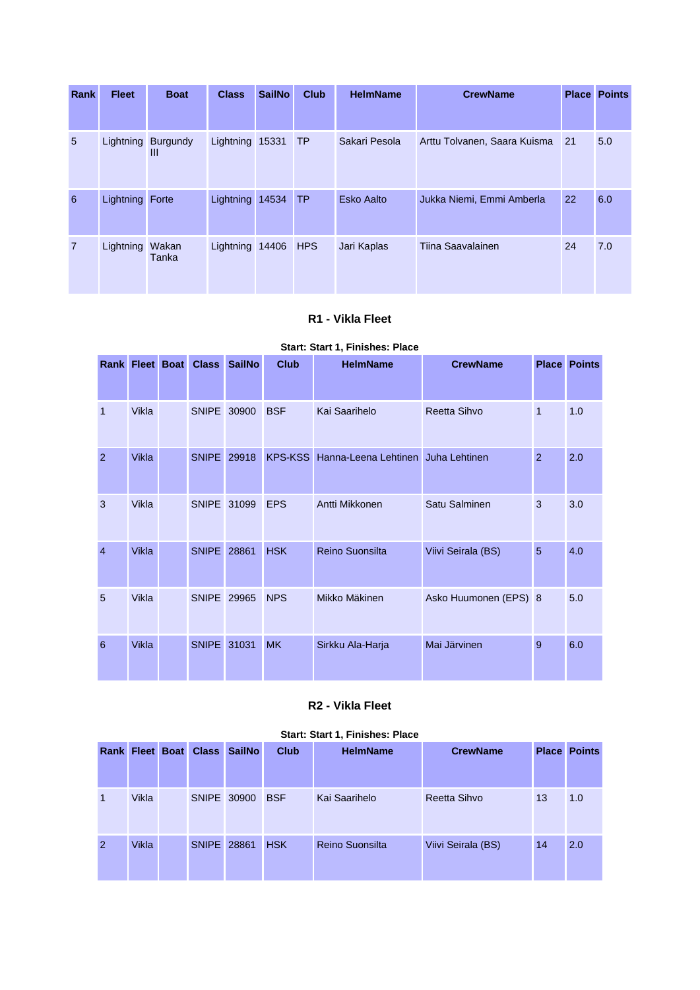| <b>Rank</b>    | <b>Fleet</b>    | <b>Boat</b>             | <b>Class</b>        | <b>SailNo</b> | <b>Club</b> | <b>HelmName</b> | <b>CrewName</b>              |             | <b>Place Points</b> |
|----------------|-----------------|-------------------------|---------------------|---------------|-------------|-----------------|------------------------------|-------------|---------------------|
| 5              |                 | Lightning Burgundy<br>Ш | Lightning 15331     |               | TP          | Sakari Pesola   | Arttu Tolvanen, Saara Kuisma | $\sqrt{21}$ | 5.0                 |
| 6              | Lightning Forte |                         | Lightning           | 14534         | <b>TP</b>   | Esko Aalto      | Jukka Niemi, Emmi Amberla    | 22          | 6.0                 |
| $\overline{7}$ | Lightning       | Wakan<br>Tanka          | Lightning 14406 HPS |               |             | Jari Kaplas     | Tiina Saavalainen            | 24          | 7.0                 |

### **R1 - Vikla Fleet**

### **Start: Start 1, Finishes: Place**

|                |              | <b>Rank Fleet Boat Class</b> | <b>SailNo</b> | <b>Club</b> | <b>HelmName</b>                    | <b>CrewName</b>       | <b>Place</b>  | <b>Points</b> |
|----------------|--------------|------------------------------|---------------|-------------|------------------------------------|-----------------------|---------------|---------------|
|                |              |                              |               |             |                                    |                       |               |               |
| $\mathbf{1}$   | Vikla        | SNIPE 30900                  |               | <b>BSF</b>  | Kai Saarihelo                      | Reetta Sihvo          | $\mathbf{1}$  | 1.0           |
| 2              | <b>Vikla</b> | <b>SNIPE</b>                 | 29918         | KPS-KSS     | Hanna-Leena Lehtinen Juha Lehtinen |                       | $\mathcal{P}$ | 2.0           |
| 3              | Vikla        | <b>SNIPE</b>                 | 31099         | <b>EPS</b>  | Antti Mikkonen                     | Satu Salminen         | 3             | 3.0           |
| $\overline{4}$ | <b>Vikla</b> | <b>SNIPE</b>                 | 28861         | <b>HSK</b>  | <b>Reino Suonsilta</b>             | Viivi Seirala (BS)    | 5             | 4.0           |
| 5              | Vikla        | SNIPE 29965                  |               | <b>NPS</b>  | Mikko Mäkinen                      | Asko Huumonen (EPS) 8 |               | 5.0           |
| 6              | <b>Vikla</b> | <b>SNIPE</b>                 | 31031         | <b>MK</b>   | Sirkku Ala-Harja                   | Mai Järvinen          | 9             | 6.0           |

### **R2 - Vikla Fleet**

|                |       |                    | Rank Fleet Boat Class SailNo | Club       | <b>HelmName</b> | <b>CrewName</b>    |    | <b>Place Points</b> |
|----------------|-------|--------------------|------------------------------|------------|-----------------|--------------------|----|---------------------|
| 1              | Vikla | SNIPE 30900        |                              | <b>BSF</b> | Kai Saarihelo   | Reetta Sihvo       | 13 | 1.0                 |
| $\overline{2}$ | Vikla | <b>SNIPE 28861</b> |                              | <b>HSK</b> | Reino Suonsilta | Viivi Seirala (BS) | 14 | 2.0                 |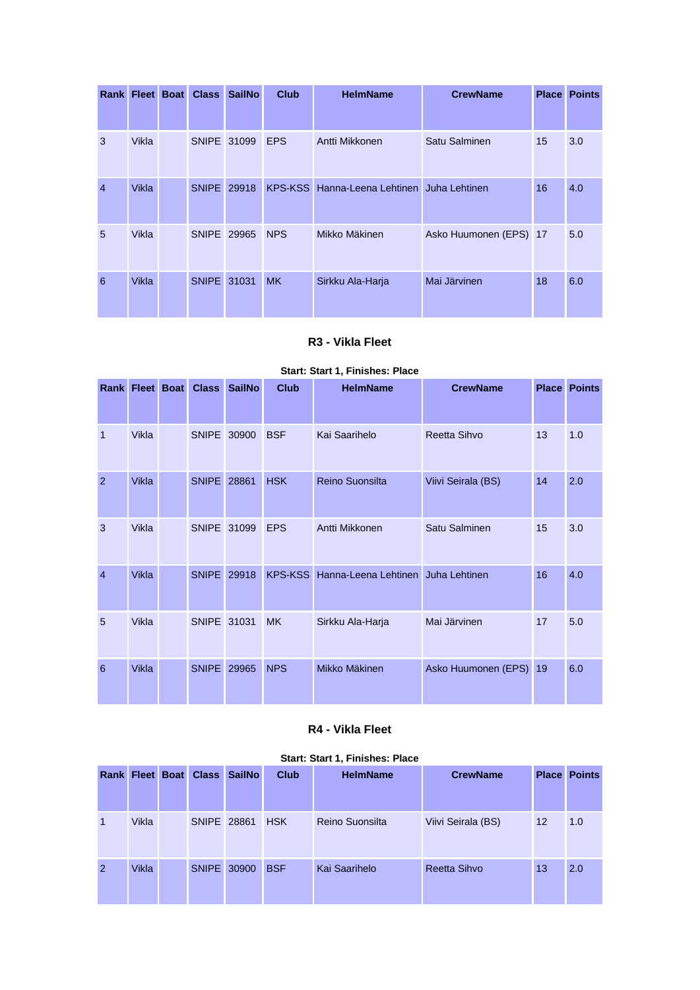|                | Rank Fleet Boat | <b>Class</b> | <b>SailNo</b> | Club       | <b>HelmName</b>                            | <b>CrewName</b>        | <b>Place</b> | <b>Points</b> |
|----------------|-----------------|--------------|---------------|------------|--------------------------------------------|------------------------|--------------|---------------|
|                |                 |              |               |            |                                            |                        |              |               |
| 3              | Vikla           | SNIPE 31099  |               | <b>EPS</b> | Antti Mikkonen                             | Satu Salminen          | 15           | 3.0           |
| $\overline{4}$ | Vikla           | <b>SNIPE</b> | 29918         |            | KPS-KSS Hanna-Leena Lehtinen Juha Lehtinen |                        | 16           | 4.0           |
| 5              | Vikla           |              | SNIPE 29965   | <b>NPS</b> | Mikko Mäkinen                              | Asko Huumonen (EPS) 17 |              | 5.0           |
| 6              | <b>Vikla</b>    | SNIPE 31031  |               | <b>MK</b>  | Sirkku Ala-Harja                           | Mai Järvinen           | 18           | 6.0           |

## **R3 - Vikla Fleet**

#### **Start: Start 1, Finishes: Place**

|                | <b>Rank Fleet Boat</b> | <b>Class</b>       | <b>SailNo</b> | <b>Club</b>    | <b>HelmName</b>        | <b>CrewName</b>        | <b>Place</b> | <b>Points</b> |
|----------------|------------------------|--------------------|---------------|----------------|------------------------|------------------------|--------------|---------------|
| $\mathbf{1}$   | <b>Vikla</b>           | SNIPE 30900        |               | <b>BSF</b>     | Kai Saarihelo          | Reetta Sihvo           | 13           | 1.0           |
| $\overline{2}$ | <b>Vikla</b>           | <b>SNIPE</b> 28861 |               | <b>HSK</b>     | <b>Reino Suonsilta</b> | Viivi Seirala (BS)     | 14           | 2.0           |
| 3              | <b>Vikla</b>           | SNIPE 31099        |               | <b>EPS</b>     | Antti Mikkonen         | Satu Salminen          | 15           | 3.0           |
| $\overline{4}$ | Vikla                  | <b>SNIPE</b> 29918 |               | <b>KPS-KSS</b> | Hanna-Leena Lehtinen   | Juha Lehtinen          | 16           | 4.0           |
| 5              | <b>Vikla</b>           | SNIPE 31031        |               | <b>MK</b>      | Sirkku Ala-Harja       | Mai Järvinen           | 17           | 5.0           |
| 6              | <b>Vikla</b>           | <b>SNIPE</b>       | 29965         | <b>NPS</b>     | Mikko Mäkinen          | Asko Huumonen (EPS) 19 |              | 6.0           |

### **R4 - Vikla Fleet**

|                |       |             | Rank Fleet Boat Class SailNo | <b>Club</b> | <b>HelmName</b> | <b>CrewName</b>     |         | <b>Place Points</b> |
|----------------|-------|-------------|------------------------------|-------------|-----------------|---------------------|---------|---------------------|
| 1              | Vikla | SNIPE 28861 |                              | <b>HSK</b>  | Reino Suonsilta | Viivi Seirala (BS)  | $12 \,$ | 1.0                 |
| $\overline{2}$ | Vikla |             | SNIPE 30900                  | <b>BSF</b>  | Kai Saarihelo   | <b>Reetta Sihvo</b> | 13      | 2.0                 |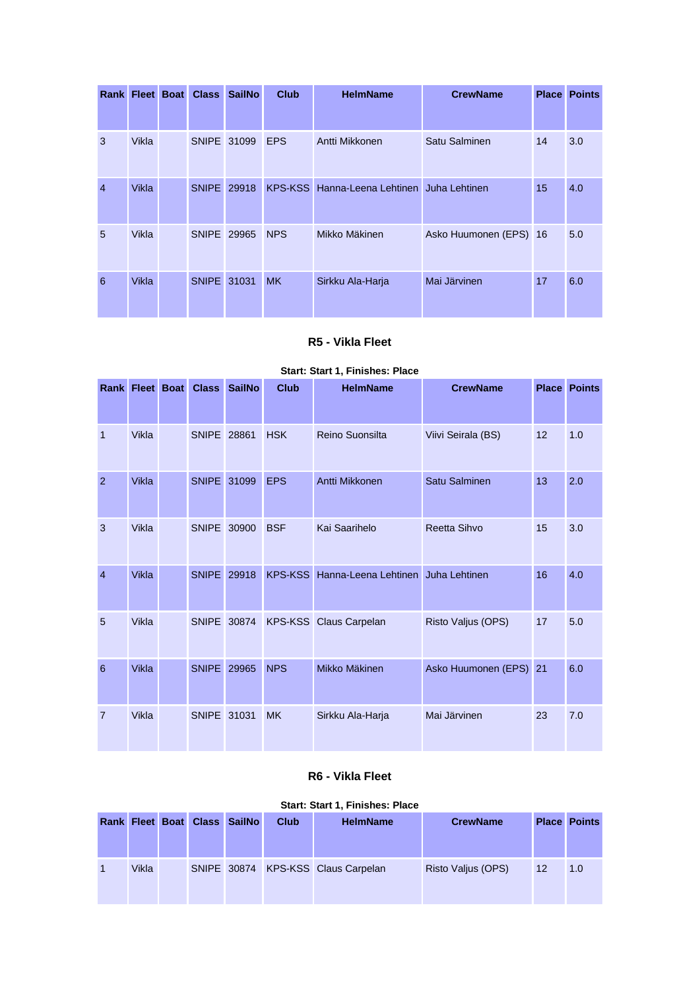|                | Rank Fleet Boat | <b>Class</b> | <b>SailNo</b> | <b>Club</b>    | <b>HelmName</b>                    | <b>CrewName</b>        | <b>Place</b> | <b>Points</b> |
|----------------|-----------------|--------------|---------------|----------------|------------------------------------|------------------------|--------------|---------------|
|                |                 |              |               |                |                                    |                        |              |               |
| 3              | Vikla           | SNIPE 31099  |               | <b>EPS</b>     | Antti Mikkonen                     | Satu Salminen          | 14           | 3.0           |
| $\overline{4}$ | Vikla           | SNIPE 29918  |               | <b>KPS-KSS</b> | Hanna-Leena Lehtinen Juha Lehtinen |                        | 15           | 4.0           |
| 5              | Vikla           | SNIPE 29965  |               | <b>NPS</b>     | Mikko Mäkinen                      | Asko Huumonen (EPS) 16 |              | 5.0           |
| 6              | <b>Vikla</b>    | SNIPE 31031  |               | <b>MK</b>      | Sirkku Ala-Harja                   | Mai Järvinen           | 17           | 6.0           |

## **R5 - Vikla Fleet**

#### **Start: Start 1, Finishes: Place**

|                |              | <b>Rank Fleet Boat Class</b> | <b>SailNo</b> | <b>Club</b> | <b>HelmName</b>                            | <b>CrewName</b>        |    | <b>Place Points</b> |
|----------------|--------------|------------------------------|---------------|-------------|--------------------------------------------|------------------------|----|---------------------|
|                |              |                              |               |             |                                            |                        |    |                     |
| $\mathbf{1}$   | Vikla        | <b>SNIPE 28861</b>           |               | <b>HSK</b>  | Reino Suonsilta                            | Viivi Seirala (BS)     | 12 | 1.0                 |
| 2              | <b>Vikla</b> | <b>SNIPE</b>                 | 31099         | <b>EPS</b>  | Antti Mikkonen                             | Satu Salminen          | 13 | 2.0                 |
| 3              | Vikla        | SNIPE 30900                  |               | <b>BSF</b>  | Kai Saarihelo                              | Reetta Sihvo           | 15 | 3.0                 |
| $\overline{4}$ | <b>Vikla</b> | <b>SNIPE</b>                 | 29918         |             | KPS-KSS Hanna-Leena Lehtinen Juha Lehtinen |                        | 16 | 4.0                 |
| 5              | Vikla        | SNIPE 30874                  |               |             | <b>KPS-KSS</b> Claus Carpelan              | Risto Valjus (OPS)     | 17 | 5.0                 |
| 6              | <b>Vikla</b> | <b>SNIPE</b>                 | 29965         | <b>NPS</b>  | Mikko Mäkinen                              | Asko Huumonen (EPS) 21 |    | 6.0                 |
| $\overline{7}$ | Vikla        | SNIPE 31031                  |               | <b>MK</b>   | Sirkku Ala-Harja                           | Mai Järvinen           | 23 | 7.0                 |

#### **R6 - Vikla Fleet**

|       |  | <b>Rank Fleet Boat Class SailNo</b> | Club | <b>HelmName</b>                    | <b>CrewName</b>    |    | <b>Place Points</b> |
|-------|--|-------------------------------------|------|------------------------------------|--------------------|----|---------------------|
| Vikla |  |                                     |      | SNIPE 30874 KPS-KSS Claus Carpelan | Risto Valjus (OPS) | 12 | 1.0                 |